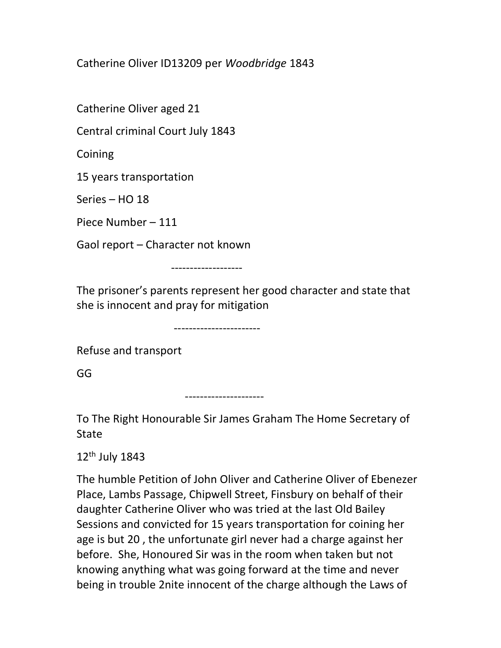Catherine Oliver ID13209 per Woodbridge 1843

Catherine Oliver aged 21

Central criminal Court July 1843

Coining

15 years transportation

Series – HO 18

Piece Number – 111

Gaol report – Character not known

-------------------

The prisoner's parents represent her good character and state that she is innocent and pray for mitigation

-----------------------

Refuse and transport

GG

---------------------

To The Right Honourable Sir James Graham The Home Secretary of **State** 

12th July 1843

The humble Petition of John Oliver and Catherine Oliver of Ebenezer Place, Lambs Passage, Chipwell Street, Finsbury on behalf of their daughter Catherine Oliver who was tried at the last Old Bailey Sessions and convicted for 15 years transportation for coining her age is but 20 , the unfortunate girl never had a charge against her before. She, Honoured Sir was in the room when taken but not knowing anything what was going forward at the time and never being in trouble 2nite innocent of the charge although the Laws of